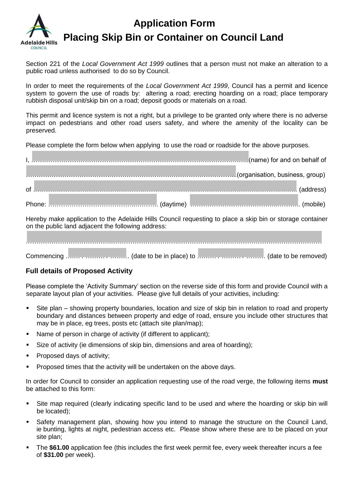

## **Application Form Placing Skip Bin or Container on Council Land**

Section 221 of the *Local Government Act 1999* outlines that a person must not make an alteration to a public road unless authorised to do so by Council.

In order to meet the requirements of the *Local Government Act 1999*, Council has a permit and licence system to govern the use of roads by: altering a road; erecting hoarding on a road; place temporary rubbish disposal unit/skip bin on a road; deposit goods or materials on a road.

This permit and licence system is not a right, but a privilege to be granted only where there is no adverse impact on pedestrians and other road users safety, and where the amenity of the locality can be preserved.

Please complete the form below when applying to use the road or roadside for the above purposes.

|    | name) for and on behalf of                  |           |
|----|---------------------------------------------|-----------|
|    | Lorentian and Corporation, business, group) |           |
| οf |                                             | (address) |
|    |                                             |           |

Hereby make application to the Adelaide Hills Council requesting to place a skip bin or storage container on the public land adjacent the following address:

Commencing ......., ………, ……….. (date to be in place) to ………, ………, .......... (date to be removed)

## **Full details of Proposed Activity**

Please complete the 'Activity Summary' section on the reverse side of this form and provide Council with a separate layout plan of your activities. Please give full details of your activities, including:

- Site plan showing property boundaries, location and size of skip bin in relation to road and property boundary and distances between property and edge of road, ensure you include other structures that may be in place, eg trees, posts etc (attach site plan/map);
- Name of person in charge of activity (if different to applicant);
- Size of activity (ie dimensions of skip bin, dimensions and area of hoarding);
- **Proposed days of activity;**
- **Proposed times that the activity will be undertaken on the above days.**

In order for Council to consider an application requesting use of the road verge, the following items **must**  be attached to this form:

- Site map required (clearly indicating specific land to be used and where the hoarding or skip bin will be located);
- Safety management plan, showing how you intend to manage the structure on the Council Land, ie bunting, lights at night, pedestrian access etc. Please show where these are to be placed on your site plan;
- The **\$61.00** application fee (this includes the first week permit fee, every week thereafter incurs a fee of **\$31.00** per week).